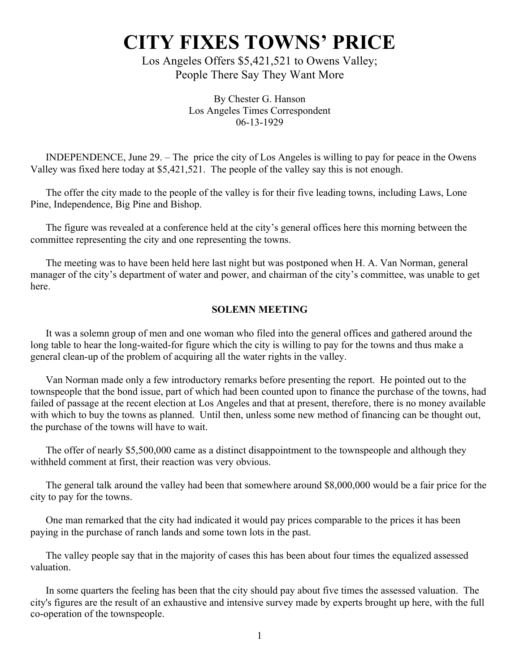## **CITY FIXES TOWNS' PRICE**

Los Angeles Offers \$5,421,521 to Owens Valley; People There Say They Want More

> By Chester G. Hanson Los Angeles Times Correspondent 06-13-1929

INDEPENDENCE, June 29. – The price the city of Los Angeles is willing to pay for peace in the Owens Valley was fixed here today at \$5,421,521. The people of the valley say this is not enough.

The offer the city made to the people of the valley is for their five leading towns, including Laws, Lone Pine, Independence, Big Pine and Bishop.

The figure was revealed at a conference held at the city's general offices here this morning between the committee representing the city and one representing the towns.

The meeting was to have been held here last night but was postponed when H. A. Van Norman, general manager of the city's department of water and power, and chairman of the city's committee, was unable to get here.

## **SOLEMN MEETING**

It was a solemn group of men and one woman who filed into the general offices and gathered around the long table to hear the long-waited-for figure which the city is willing to pay for the towns and thus make a general clean-up of the problem of acquiring all the water rights in the valley.

Van Norman made only a few introductory remarks before presenting the report. He pointed out to the townspeople that the bond issue, part of which had been counted upon to finance the purchase of the towns, had failed of passage at the recent election at Los Angeles and that at present, therefore, there is no money available with which to buy the towns as planned. Until then, unless some new method of financing can be thought out, the purchase of the towns will have to wait.

The offer of nearly \$5,500,000 came as a distinct disappointment to the townspeople and although they withheld comment at first, their reaction was very obvious.

The general talk around the valley had been that somewhere around \$8,000,000 would be a fair price for the city to pay for the towns.

One man remarked that the city had indicated it would pay prices comparable to the prices it has been paying in the purchase of ranch lands and some town lots in the past.

The valley people say that in the majority of cases this has been about four times the equalized assessed valuation.

In some quarters the feeling has been that the city should pay about five times the assessed valuation. The city's figures are the result of an exhaustive and intensive survey made by experts brought up here, with the full co-operation of the townspeople.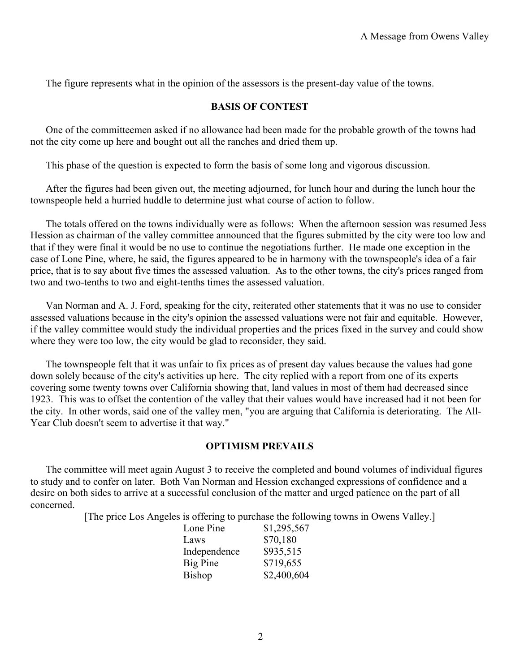The figure represents what in the opinion of the assessors is the present-day value of the towns.

## **BASIS OF CONTEST**

One of the committeemen asked if no allowance had been made for the probable growth of the towns had not the city come up here and bought out all the ranches and dried them up.

This phase of the question is expected to form the basis of some long and vigorous discussion.

After the figures had been given out, the meeting adjourned, for lunch hour and during the lunch hour the townspeople held a hurried huddle to determine just what course of action to follow.

The totals offered on the towns individually were as follows: When the afternoon session was resumed Jess Hession as chairman of the valley committee announced that the figures submitted by the city were too low and that if they were final it would be no use to continue the negotiations further. He made one exception in the case of Lone Pine, where, he said, the figures appeared to be in harmony with the townspeople's idea of a fair price, that is to say about five times the assessed valuation. As to the other towns, the city's prices ranged from two and two-tenths to two and eight-tenths times the assessed valuation.

Van Norman and A. J. Ford, speaking for the city, reiterated other statements that it was no use to consider assessed valuations because in the city's opinion the assessed valuations were not fair and equitable. However, if the valley committee would study the individual properties and the prices fixed in the survey and could show where they were too low, the city would be glad to reconsider, they said.

The townspeople felt that it was unfair to fix prices as of present day values because the values had gone down solely because of the city's activities up here. The city replied with a report from one of its experts covering some twenty towns over California showing that, land values in most of them had decreased since 1923. This was to offset the contention of the valley that their values would have increased had it not been for the city. In other words, said one of the valley men, "you are arguing that California is deteriorating. The All-Year Club doesn't seem to advertise it that way."

## **OPTIMISM PREVAILS**

The committee will meet again August 3 to receive the completed and bound volumes of individual figures to study and to confer on later. Both Van Norman and Hession exchanged expressions of confidence and a desire on both sides to arrive at a successful conclusion of the matter and urged patience on the part of all concerned.

[The price Los Angeles is offering to purchase the following towns in Owens Valley.]

| Lone Pine     | \$1,295,567 |
|---------------|-------------|
| Laws          | \$70,180    |
| Independence  | \$935,515   |
| Big Pine      | \$719,655   |
| <b>Bishop</b> | \$2,400,604 |
|               |             |